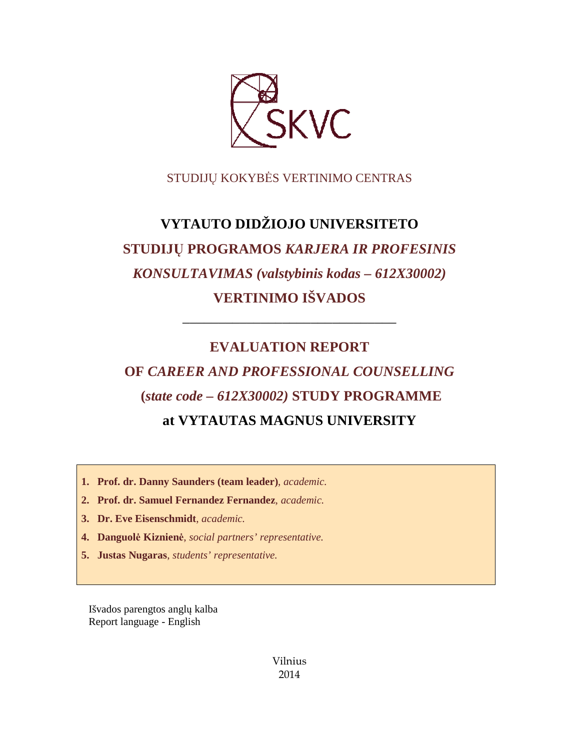

# STUDIJŲ KOKYBĖS VERTINIMO CENTRAS

# **VYTAUTO DIDŽIOJO UNIVERSITETO STUDIJŲ PROGRAMOS** *KARJERA IR PROFESINIS KONSULTAVIMAS (valstybinis kodas – 612X30002)* **VERTINIMO IŠVADOS**

# **EVALUATION REPORT**

––––––––––––––––––––––––––––––

# **OF** *CAREER AND PROFESSIONAL COUNSELLING*  **(***state code – 612X30002)* **STUDY PROGRAMME at VYTAUTAS MAGNUS UNIVERSITY**

- **1. Prof. dr. Danny Saunders (team leader)**, *academic.*
- **2. Prof. dr. Samuel Fernandez Fernandez**, *academic.*
- **3. Dr. Eve Eisenschmidt**, *academic.*
- **4. Danguolė Kiznienė**, *social partners' representative.*
- **5. Justas Nugaras**, *students' representative.*

Išvados parengtos anglų kalba Report language - English

> Vilnius 2014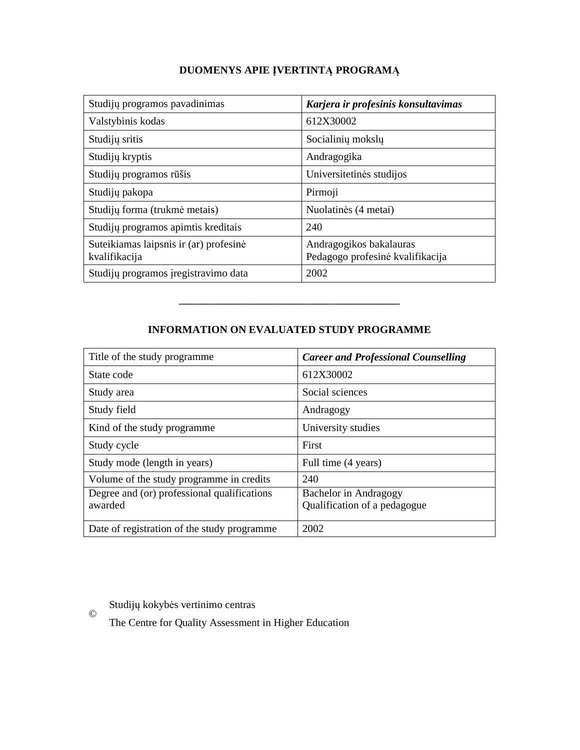# **DUOMENYS APIE ĮVERTINTĄ PROGRAMĄ**

| Studijų programos pavadinimas                           | Karjera ir profesinis konsultavimas                         |
|---------------------------------------------------------|-------------------------------------------------------------|
| Valstybinis kodas                                       | 612X30002                                                   |
| Studijų sritis                                          | Socialinių mokslų                                           |
| Studijų kryptis                                         | Andragogika                                                 |
| Studijų programos rūšis                                 | Universitetinės studijos                                    |
| Studijų pakopa                                          | Pirmoji                                                     |
| Studijų forma (trukmė metais)                           | Nuolatinės (4 metai)                                        |
| Studijų programos apimtis kreditais                     | 240                                                         |
| Suteikiamas laipsnis ir (ar) profesinė<br>kvalifikacija | Andragogikos bakalauras<br>Pedagogo profesinė kvalifikacija |
| Studijų programos įregistravimo data                    | 2002                                                        |

## **INFORMATION ON EVALUATED STUDY PROGRAMME**

–––––––––––––––––––––––––––––––

| Title of the study programme.                          | <b>Career and Professional Counselling</b>            |
|--------------------------------------------------------|-------------------------------------------------------|
| State code                                             | 612X30002                                             |
| Study area                                             | Social sciences                                       |
| Study field                                            | Andragogy                                             |
| Kind of the study programme.                           | University studies                                    |
| Study cycle                                            | First                                                 |
| Study mode (length in years)                           | Full time (4 years)                                   |
| Volume of the study programme in credits               | 240                                                   |
| Degree and (or) professional qualifications<br>awarded | Bachelor in Andragogy<br>Qualification of a pedagogue |
| Date of registration of the study programme            | 2002                                                  |

Studijų kokybės vertinimo centras

©

The Centre for Quality Assessment in Higher Education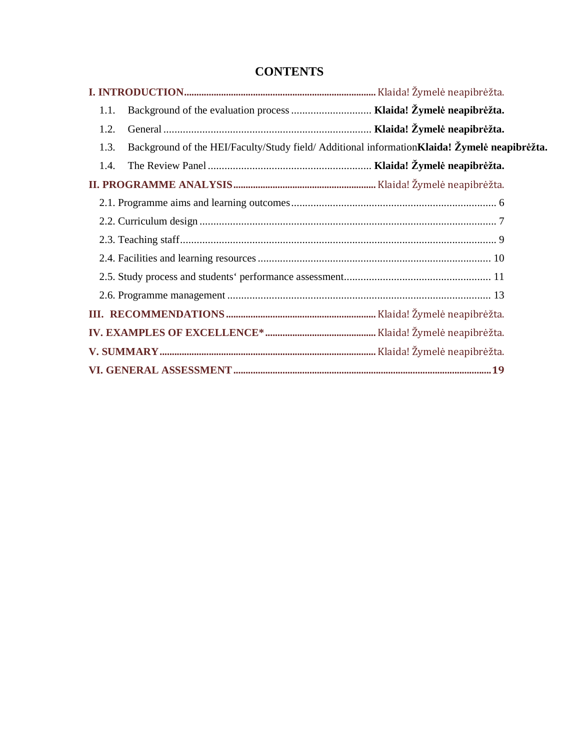# **CONTENTS**

| Background of the evaluation process  Klaida! Žymelė neapibrėžta.<br>1.1.                             |  |  |
|-------------------------------------------------------------------------------------------------------|--|--|
| 1.2.                                                                                                  |  |  |
| Background of the HEI/Faculty/Study field/ Additional information Klaida! Žymelė neapibrėžta.<br>1.3. |  |  |
| 1.4.                                                                                                  |  |  |
|                                                                                                       |  |  |
|                                                                                                       |  |  |
|                                                                                                       |  |  |
|                                                                                                       |  |  |
|                                                                                                       |  |  |
|                                                                                                       |  |  |
|                                                                                                       |  |  |
|                                                                                                       |  |  |
|                                                                                                       |  |  |
|                                                                                                       |  |  |
|                                                                                                       |  |  |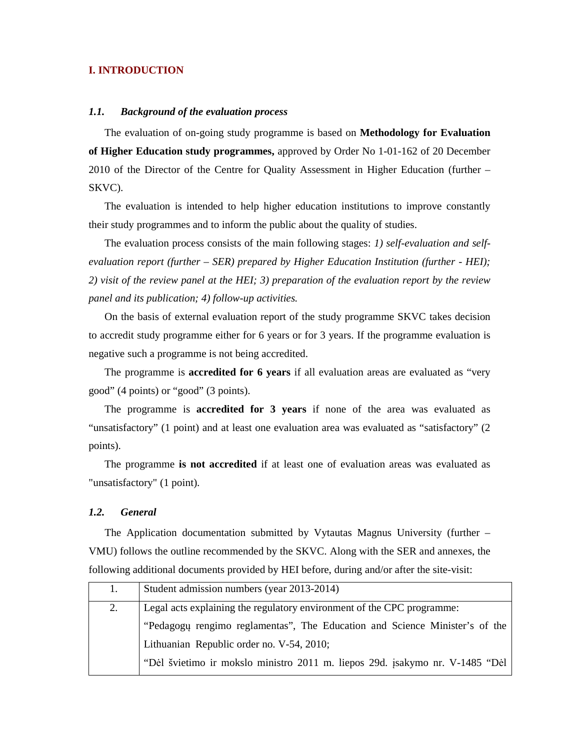### **I. INTRODUCTION**

#### *1.1. Background of the evaluation process*

The evaluation of on-going study programme is based on **Methodology for Evaluation of Higher Education study programmes,** approved by Order No 1-01-162 of 20 December 2010 of the Director of the Centre for Quality Assessment in Higher Education (further – SKVC).

The evaluation is intended to help higher education institutions to improve constantly their study programmes and to inform the public about the quality of studies.

The evaluation process consists of the main following stages: *1) self-evaluation and selfevaluation report (further – SER) prepared by Higher Education Institution (further - HEI); 2) visit of the review panel at the HEI; 3) preparation of the evaluation report by the review panel and its publication; 4) follow-up activities.* 

On the basis of external evaluation report of the study programme SKVC takes decision to accredit study programme either for 6 years or for 3 years. If the programme evaluation is negative such a programme is not being accredited.

The programme is **accredited for 6 years** if all evaluation areas are evaluated as "very good" (4 points) or "good" (3 points).

The programme is **accredited for 3 years** if none of the area was evaluated as "unsatisfactory" (1 point) and at least one evaluation area was evaluated as "satisfactory" (2 points).

The programme **is not accredited** if at least one of evaluation areas was evaluated as "unsatisfactory" (1 point).

#### *1.2. General*

The Application documentation submitted by Vytautas Magnus University (further – VMU) follows the outline recommended by the SKVC. Along with the SER and annexes, the following additional documents provided by HEI before, during and/or after the site-visit:

| 1. | Student admission numbers (year 2013-2014)                                   |  |
|----|------------------------------------------------------------------------------|--|
| 2. | Legal acts explaining the regulatory environment of the CPC programme:       |  |
|    | "Pedagogy rengimo reglamentas", The Education and Science Minister's of the  |  |
|    | Lithuanian Republic order no. V-54, 2010;                                    |  |
|    | "Dėl švietimo ir mokslo ministro 2011 m. liepos 29d. įsakymo nr. V-1485 "Dėl |  |
|    |                                                                              |  |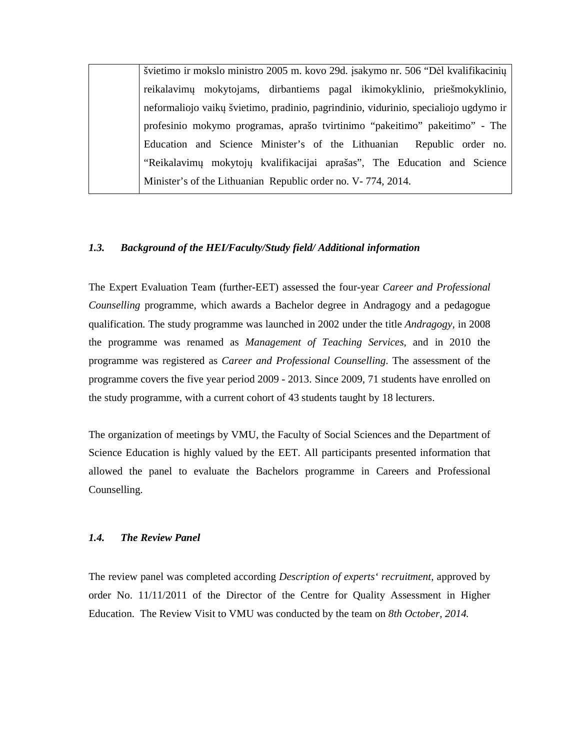švietimo ir mokslo ministro 2005 m. kovo 29d. įsakymo nr. 506 "Dėl kvalifikacinių reikalavimų mokytojams, dirbantiems pagal ikimokyklinio, priešmokyklinio, neformaliojo vaikų švietimo, pradinio, pagrindinio, vidurinio, specialiojo ugdymo ir profesinio mokymo programas, aprašo tvirtinimo "pakeitimo" pakeitimo" - The Education and Science Minister's of the Lithuanian Republic order no. "Reikalavimų mokytojų kvalifikacijai aprašas", The Education and Science Minister's of the Lithuanian Republic order no. V- 774, 2014.

#### *1.3. Background of the HEI/Faculty/Study field/ Additional information*

The Expert Evaluation Team (further-EET) assessed the four-year *Career and Professional Counselling* programme, which awards a Bachelor degree in Andragogy and a pedagogue qualification. The study programme was launched in 2002 under the title *Andragogy,* in 2008 the programme was renamed as *Management of Teaching Services,* and in 2010 the programme was registered as *Career and Professional Counselling*. The assessment of the programme covers the five year period 2009 - 2013. Since 2009, 71 students have enrolled on the study programme, with a current cohort of 43 students taught by 18 lecturers.

The organization of meetings by VMU, the Faculty of Social Sciences and the Department of Science Education is highly valued by the EET. All participants presented information that allowed the panel to evaluate the Bachelors programme in Careers and Professional Counselling.

#### *1.4. The Review Panel*

The review panel was completed according *Description of experts' recruitment*, approved by order No. 11/11/2011 of the Director of the Centre for Quality Assessment in Higher Education. The Review Visit to VMU was conducted by the team on *8th October, 2014.*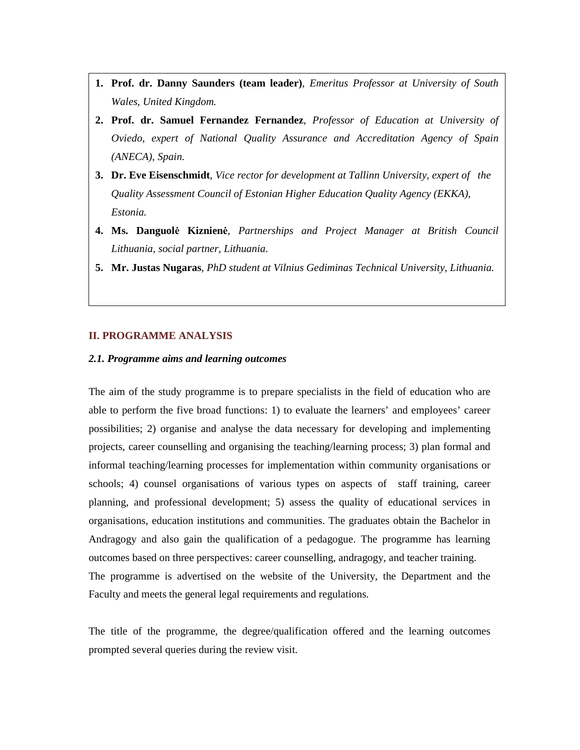- **1. Prof. dr. Danny Saunders (team leader)**, *Emeritus Professor at University of South Wales, United Kingdom.*
- **2. Prof. dr. Samuel Fernandez Fernandez**, *Professor of Education at University of Oviedo, expert of National Quality Assurance and Accreditation Agency of Spain (ANECA), Spain.*
- **3. Dr. Eve Eisenschmidt**, *Vice rector for development at Tallinn University, expert of the Quality Assessment Council of Estonian Higher Education Quality Agency (EKKA), Estonia.*
- **4. Ms. Danguolė Kiznienė**, *Partnerships and Project Manager at British Council Lithuania*, *social partner, Lithuania*.
- **5. Mr. Justas Nugaras**, *PhD student at Vilnius Gediminas Technical University, Lithuania.*

#### **II. PROGRAMME ANALYSIS**

**II. PROGRAMME ANALYSIS** 

 $\overline{\phantom{a}}$ 

#### *2.1. Programme aims and learning outcomes*

The aim of the study programme is to prepare specialists in the field of education who are able to perform the five broad functions: 1) to evaluate the learners' and employees' career possibilities; 2) organise and analyse the data necessary for developing and implementing projects, career counselling and organising the teaching/learning process; 3) plan formal and informal teaching/learning processes for implementation within community organisations or schools; 4) counsel organisations of various types on aspects of staff training, career planning, and professional development; 5) assess the quality of educational services in organisations, education institutions and communities. The graduates obtain the Bachelor in Andragogy and also gain the qualification of a pedagogue. The programme has learning outcomes based on three perspectives: career counselling, andragogy, and teacher training. The programme is advertised on the website of the University, the Department and the Faculty and meets the general legal requirements and regulations.

The title of the programme, the degree/qualification offered and the learning outcomes prompted several queries during the review visit.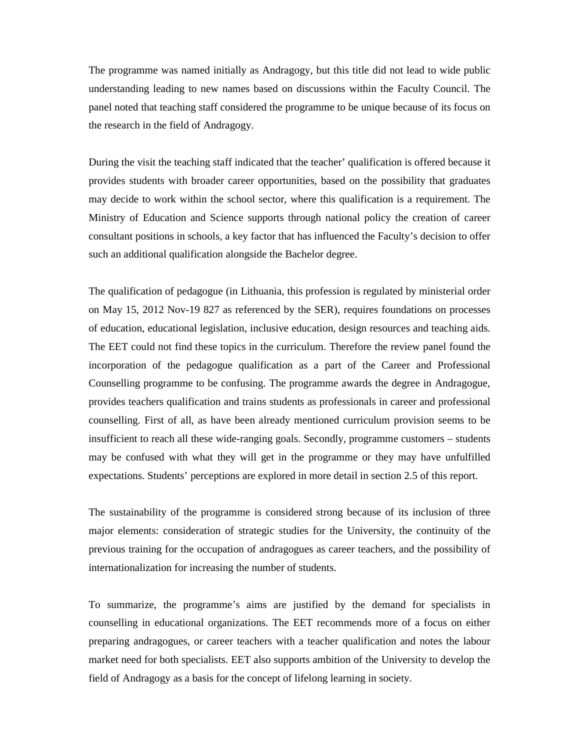The programme was named initially as Andragogy, but this title did not lead to wide public understanding leading to new names based on discussions within the Faculty Council. The panel noted that teaching staff considered the programme to be unique because of its focus on the research in the field of Andragogy.

During the visit the teaching staff indicated that the teacher' qualification is offered because it provides students with broader career opportunities, based on the possibility that graduates may decide to work within the school sector, where this qualification is a requirement. The Ministry of Education and Science supports through national policy the creation of career consultant positions in schools, a key factor that has influenced the Faculty's decision to offer such an additional qualification alongside the Bachelor degree.

The qualification of pedagogue (in Lithuania, this profession is regulated by ministerial order on May 15, 2012 Nov-19 827 as referenced by the SER), requires foundations on processes of education, educational legislation, inclusive education, design resources and teaching aids. The EET could not find these topics in the curriculum. Therefore the review panel found the incorporation of the pedagogue qualification as a part of the Career and Professional Counselling programme to be confusing. The programme awards the degree in Andragogue, provides teachers qualification and trains students as professionals in career and professional counselling. First of all, as have been already mentioned curriculum provision seems to be insufficient to reach all these wide-ranging goals. Secondly, programme customers – students may be confused with what they will get in the programme or they may have unfulfilled expectations. Students' perceptions are explored in more detail in section 2.5 of this report.

The sustainability of the programme is considered strong because of its inclusion of three major elements: consideration of strategic studies for the University, the continuity of the previous training for the occupation of andragogues as career teachers, and the possibility of internationalization for increasing the number of students.

To summarize, the programme's aims are justified by the demand for specialists in counselling in educational organizations. The EET recommends more of a focus on either preparing andragogues, or career teachers with a teacher qualification and notes the labour market need for both specialists. EET also supports ambition of the University to develop the field of Andragogy as a basis for the concept of lifelong learning in society.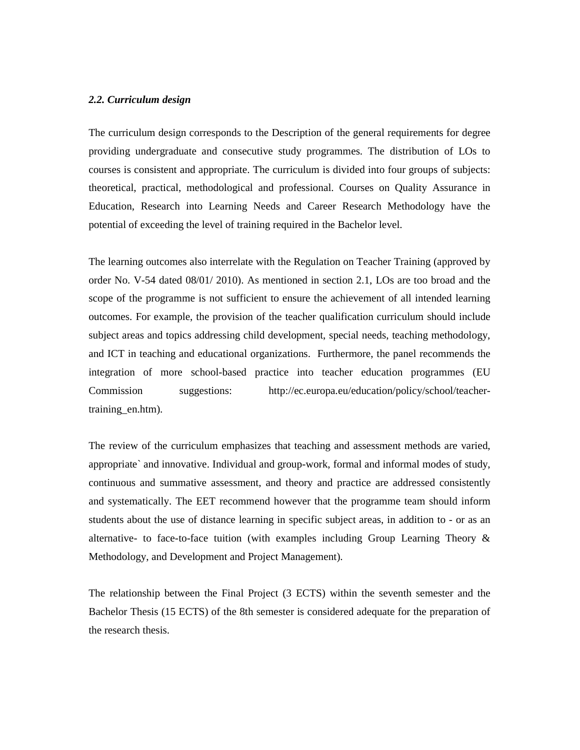#### *2.2. Curriculum design*

The curriculum design corresponds to the Description of the general requirements for degree providing undergraduate and consecutive study programmes. The distribution of LOs to courses is consistent and appropriate. The curriculum is divided into four groups of subjects: theoretical, practical, methodological and professional. Courses on Quality Assurance in Education, Research into Learning Needs and Career Research Methodology have the potential of exceeding the level of training required in the Bachelor level.

The learning outcomes also interrelate with the Regulation on Teacher Training (approved by order No. V-54 dated 08/01/ 2010). As mentioned in section 2.1, LOs are too broad and the scope of the programme is not sufficient to ensure the achievement of all intended learning outcomes. For example, the provision of the teacher qualification curriculum should include subject areas and topics addressing child development, special needs, teaching methodology, and ICT in teaching and educational organizations. Furthermore, the panel recommends the integration of more school-based practice into teacher education programmes (EU Commission suggestions: http://ec.europa.eu/education/policy/school/teachertraining\_en.htm).

The review of the curriculum emphasizes that teaching and assessment methods are varied, appropriate` and innovative. Individual and group-work, formal and informal modes of study, continuous and summative assessment, and theory and practice are addressed consistently and systematically. The EET recommend however that the programme team should inform students about the use of distance learning in specific subject areas, in addition to - or as an alternative- to face-to-face tuition (with examples including Group Learning Theory  $\&$ Methodology, and Development and Project Management).

The relationship between the Final Project (3 ECTS) within the seventh semester and the Bachelor Thesis (15 ECTS) of the 8th semester is considered adequate for the preparation of the research thesis.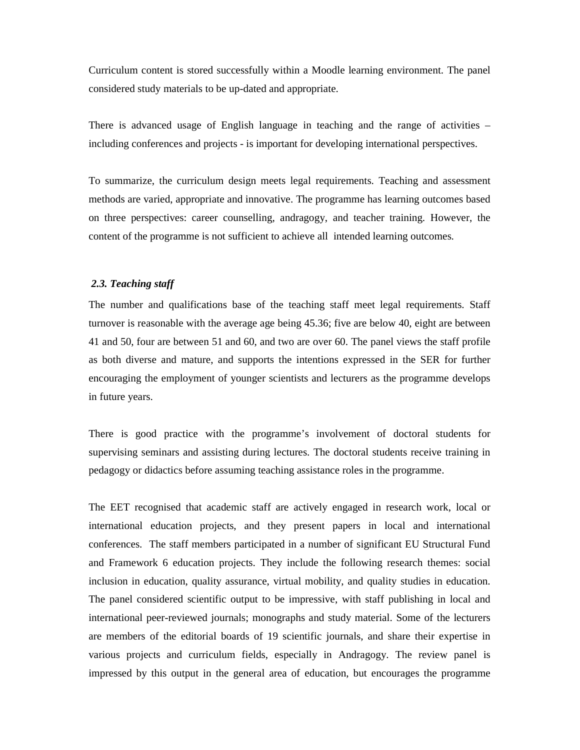Curriculum content is stored successfully within a Moodle learning environment. The panel considered study materials to be up-dated and appropriate.

There is advanced usage of English language in teaching and the range of activities – including conferences and projects - is important for developing international perspectives.

To summarize, the curriculum design meets legal requirements. Teaching and assessment methods are varied, appropriate and innovative. The programme has learning outcomes based on three perspectives: career counselling, andragogy, and teacher training. However, the content of the programme is not sufficient to achieve all intended learning outcomes.

#### *2.3. Teaching staff*

The number and qualifications base of the teaching staff meet legal requirements. Staff turnover is reasonable with the average age being 45.36; five are below 40, eight are between 41 and 50, four are between 51 and 60, and two are over 60. The panel views the staff profile as both diverse and mature, and supports the intentions expressed in the SER for further encouraging the employment of younger scientists and lecturers as the programme develops in future years.

There is good practice with the programme's involvement of doctoral students for supervising seminars and assisting during lectures. The doctoral students receive training in pedagogy or didactics before assuming teaching assistance roles in the programme.

The EET recognised that academic staff are actively engaged in research work, local or international education projects, and they present papers in local and international conferences. The staff members participated in a number of significant EU Structural Fund and Framework 6 education projects. They include the following research themes: social inclusion in education, quality assurance, virtual mobility, and quality studies in education. The panel considered scientific output to be impressive, with staff publishing in local and international peer-reviewed journals; monographs and study material. Some of the lecturers are members of the editorial boards of 19 scientific journals, and share their expertise in various projects and curriculum fields, especially in Andragogy. The review panel is impressed by this output in the general area of education, but encourages the programme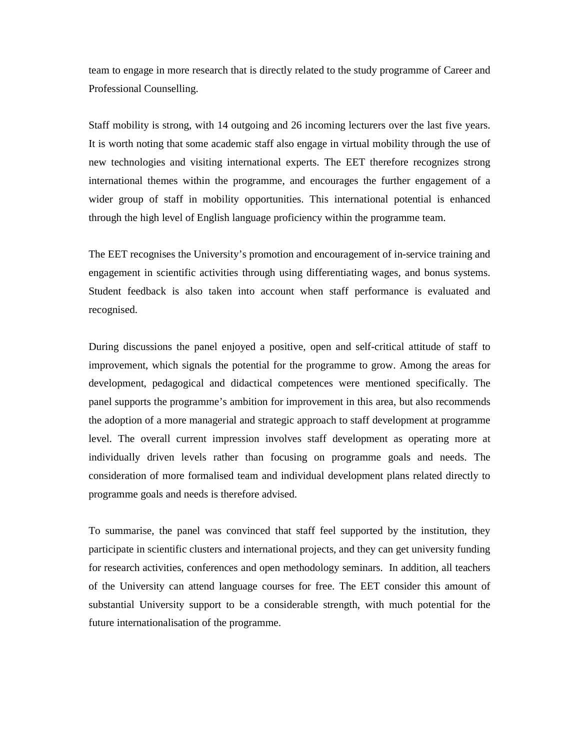team to engage in more research that is directly related to the study programme of Career and Professional Counselling.

Staff mobility is strong, with 14 outgoing and 26 incoming lecturers over the last five years. It is worth noting that some academic staff also engage in virtual mobility through the use of new technologies and visiting international experts. The EET therefore recognizes strong international themes within the programme, and encourages the further engagement of a wider group of staff in mobility opportunities. This international potential is enhanced through the high level of English language proficiency within the programme team.

The EET recognises the University's promotion and encouragement of in-service training and engagement in scientific activities through using differentiating wages, and bonus systems. Student feedback is also taken into account when staff performance is evaluated and recognised.

During discussions the panel enjoyed a positive, open and self-critical attitude of staff to improvement, which signals the potential for the programme to grow. Among the areas for development, pedagogical and didactical competences were mentioned specifically. The panel supports the programme's ambition for improvement in this area, but also recommends the adoption of a more managerial and strategic approach to staff development at programme level. The overall current impression involves staff development as operating more at individually driven levels rather than focusing on programme goals and needs. The consideration of more formalised team and individual development plans related directly to programme goals and needs is therefore advised.

To summarise, the panel was convinced that staff feel supported by the institution, they participate in scientific clusters and international projects, and they can get university funding for research activities, conferences and open methodology seminars. In addition, all teachers of the University can attend language courses for free. The EET consider this amount of substantial University support to be a considerable strength, with much potential for the future internationalisation of the programme.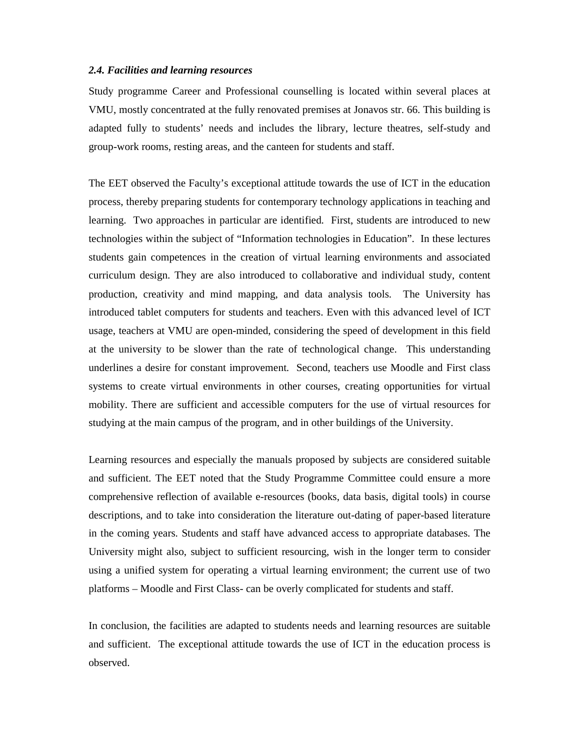#### *2.4. Facilities and learning resources*

Study programme Career and Professional counselling is located within several places at VMU, mostly concentrated at the fully renovated premises at Jonavos str. 66. This building is adapted fully to students' needs and includes the library, lecture theatres, self-study and group-work rooms, resting areas, and the canteen for students and staff.

The EET observed the Faculty's exceptional attitude towards the use of ICT in the education process, thereby preparing students for contemporary technology applications in teaching and learning. Two approaches in particular are identified. First, students are introduced to new technologies within the subject of "Information technologies in Education". In these lectures students gain competences in the creation of virtual learning environments and associated curriculum design. They are also introduced to collaborative and individual study, content production, creativity and mind mapping, and data analysis tools. The University has introduced tablet computers for students and teachers. Even with this advanced level of ICT usage, teachers at VMU are open-minded, considering the speed of development in this field at the university to be slower than the rate of technological change. This understanding underlines a desire for constant improvement. Second, teachers use Moodle and First class systems to create virtual environments in other courses, creating opportunities for virtual mobility. There are sufficient and accessible computers for the use of virtual resources for studying at the main campus of the program, and in other buildings of the University.

Learning resources and especially the manuals proposed by subjects are considered suitable and sufficient. The EET noted that the Study Programme Committee could ensure a more comprehensive reflection of available e-resources (books, data basis, digital tools) in course descriptions, and to take into consideration the literature out-dating of paper-based literature in the coming years. Students and staff have advanced access to appropriate databases. The University might also, subject to sufficient resourcing, wish in the longer term to consider using a unified system for operating a virtual learning environment; the current use of two platforms – Moodle and First Class- can be overly complicated for students and staff.

In conclusion, the facilities are adapted to students needs and learning resources are suitable and sufficient. The exceptional attitude towards the use of ICT in the education process is observed.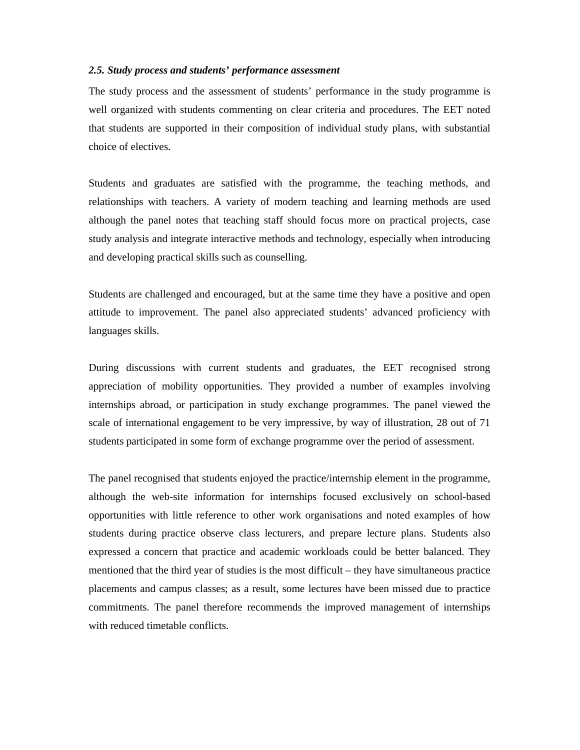#### *2.5. Study process and students' performance assessment*

The study process and the assessment of students' performance in the study programme is well organized with students commenting on clear criteria and procedures. The EET noted that students are supported in their composition of individual study plans, with substantial choice of electives.

Students and graduates are satisfied with the programme, the teaching methods, and relationships with teachers. A variety of modern teaching and learning methods are used although the panel notes that teaching staff should focus more on practical projects, case study analysis and integrate interactive methods and technology, especially when introducing and developing practical skills such as counselling.

Students are challenged and encouraged, but at the same time they have a positive and open attitude to improvement. The panel also appreciated students' advanced proficiency with languages skills.

During discussions with current students and graduates, the EET recognised strong appreciation of mobility opportunities. They provided a number of examples involving internships abroad, or participation in study exchange programmes. The panel viewed the scale of international engagement to be very impressive, by way of illustration, 28 out of 71 students participated in some form of exchange programme over the period of assessment.

The panel recognised that students enjoyed the practice/internship element in the programme, although the web-site information for internships focused exclusively on school-based opportunities with little reference to other work organisations and noted examples of how students during practice observe class lecturers, and prepare lecture plans. Students also expressed a concern that practice and academic workloads could be better balanced. They mentioned that the third year of studies is the most difficult – they have simultaneous practice placements and campus classes; as a result, some lectures have been missed due to practice commitments. The panel therefore recommends the improved management of internships with reduced timetable conflicts.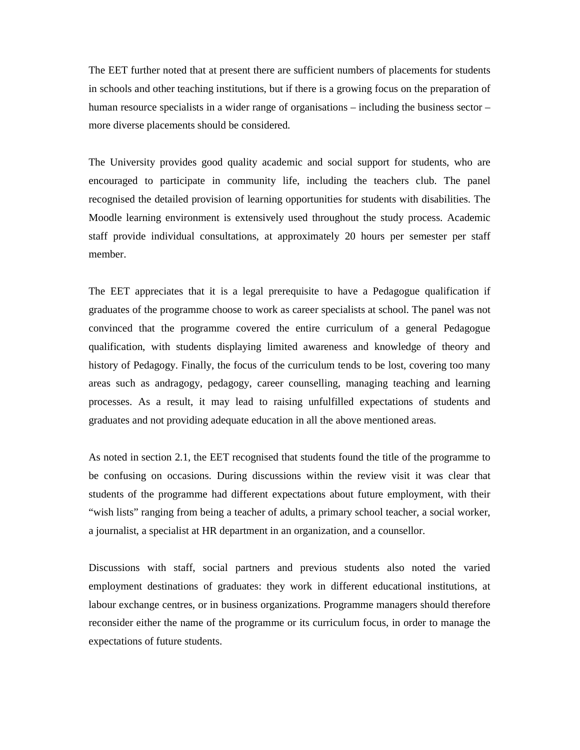The EET further noted that at present there are sufficient numbers of placements for students in schools and other teaching institutions, but if there is a growing focus on the preparation of human resource specialists in a wider range of organisations – including the business sector – more diverse placements should be considered.

The University provides good quality academic and social support for students, who are encouraged to participate in community life, including the teachers club. The panel recognised the detailed provision of learning opportunities for students with disabilities. The Moodle learning environment is extensively used throughout the study process. Academic staff provide individual consultations, at approximately 20 hours per semester per staff member.

The EET appreciates that it is a legal prerequisite to have a Pedagogue qualification if graduates of the programme choose to work as career specialists at school. The panel was not convinced that the programme covered the entire curriculum of a general Pedagogue qualification, with students displaying limited awareness and knowledge of theory and history of Pedagogy. Finally, the focus of the curriculum tends to be lost, covering too many areas such as andragogy, pedagogy, career counselling, managing teaching and learning processes. As a result, it may lead to raising unfulfilled expectations of students and graduates and not providing adequate education in all the above mentioned areas.

As noted in section 2.1, the EET recognised that students found the title of the programme to be confusing on occasions. During discussions within the review visit it was clear that students of the programme had different expectations about future employment, with their "wish lists" ranging from being a teacher of adults, a primary school teacher, a social worker, a journalist, a specialist at HR department in an organization, and a counsellor.

Discussions with staff, social partners and previous students also noted the varied employment destinations of graduates: they work in different educational institutions, at labour exchange centres, or in business organizations. Programme managers should therefore reconsider either the name of the programme or its curriculum focus, in order to manage the expectations of future students.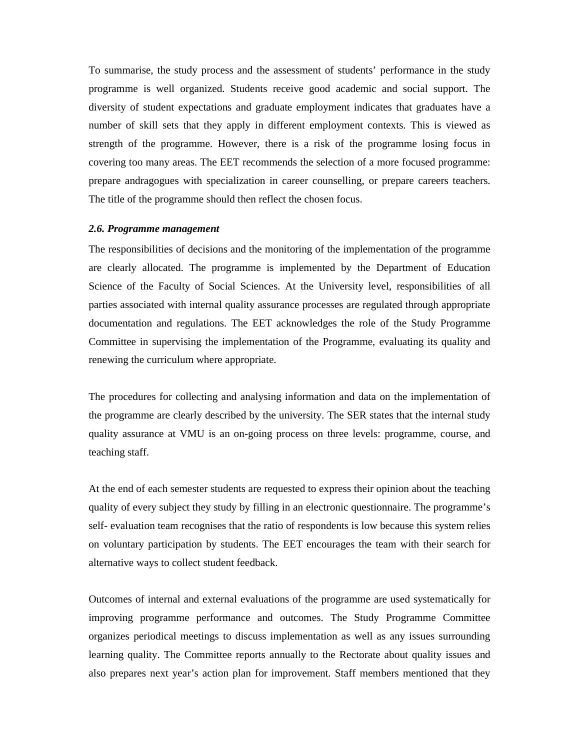To summarise, the study process and the assessment of students' performance in the study programme is well organized. Students receive good academic and social support. The diversity of student expectations and graduate employment indicates that graduates have a number of skill sets that they apply in different employment contexts. This is viewed as strength of the programme. However, there is a risk of the programme losing focus in covering too many areas. The EET recommends the selection of a more focused programme: prepare andragogues with specialization in career counselling, or prepare careers teachers. The title of the programme should then reflect the chosen focus.

#### *2.6. Programme management*

The responsibilities of decisions and the monitoring of the implementation of the programme are clearly allocated. The programme is implemented by the Department of Education Science of the Faculty of Social Sciences. At the University level, responsibilities of all parties associated with internal quality assurance processes are regulated through appropriate documentation and regulations. The EET acknowledges the role of the Study Programme Committee in supervising the implementation of the Programme, evaluating its quality and renewing the curriculum where appropriate.

The procedures for collecting and analysing information and data on the implementation of the programme are clearly described by the university. The SER states that the internal study quality assurance at VMU is an on-going process on three levels: programme, course, and teaching staff.

At the end of each semester students are requested to express their opinion about the teaching quality of every subject they study by filling in an electronic questionnaire. The programme's self- evaluation team recognises that the ratio of respondents is low because this system relies on voluntary participation by students. The EET encourages the team with their search for alternative ways to collect student feedback.

Outcomes of internal and external evaluations of the programme are used systematically for improving programme performance and outcomes. The Study Programme Committee organizes periodical meetings to discuss implementation as well as any issues surrounding learning quality. The Committee reports annually to the Rectorate about quality issues and also prepares next year's action plan for improvement. Staff members mentioned that they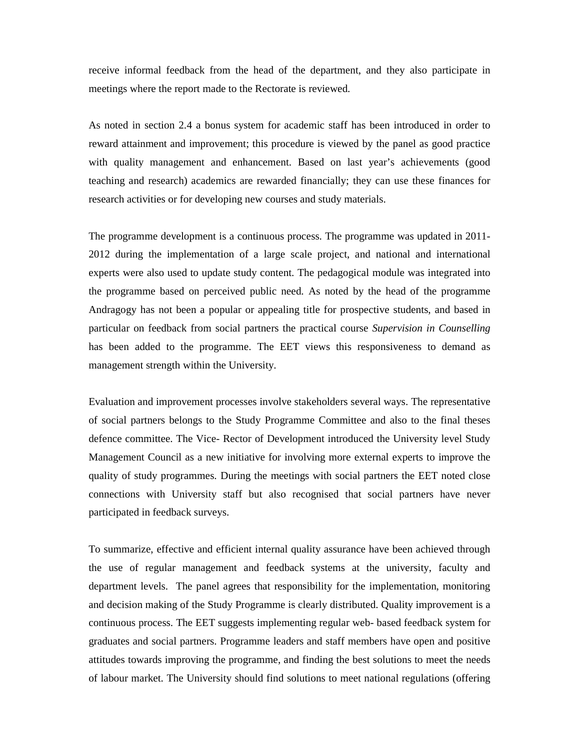receive informal feedback from the head of the department, and they also participate in meetings where the report made to the Rectorate is reviewed.

As noted in section 2.4 a bonus system for academic staff has been introduced in order to reward attainment and improvement; this procedure is viewed by the panel as good practice with quality management and enhancement. Based on last year's achievements (good teaching and research) academics are rewarded financially; they can use these finances for research activities or for developing new courses and study materials.

The programme development is a continuous process. The programme was updated in 2011- 2012 during the implementation of a large scale project, and national and international experts were also used to update study content. The pedagogical module was integrated into the programme based on perceived public need. As noted by the head of the programme Andragogy has not been a popular or appealing title for prospective students, and based in particular on feedback from social partners the practical course *Supervision in Counselling* has been added to the programme. The EET views this responsiveness to demand as management strength within the University.

Evaluation and improvement processes involve stakeholders several ways. The representative of social partners belongs to the Study Programme Committee and also to the final theses defence committee. The Vice- Rector of Development introduced the University level Study Management Council as a new initiative for involving more external experts to improve the quality of study programmes. During the meetings with social partners the EET noted close connections with University staff but also recognised that social partners have never participated in feedback surveys.

To summarize, effective and efficient internal quality assurance have been achieved through the use of regular management and feedback systems at the university, faculty and department levels. The panel agrees that responsibility for the implementation, monitoring and decision making of the Study Programme is clearly distributed. Quality improvement is a continuous process. The EET suggests implementing regular web- based feedback system for graduates and social partners. Programme leaders and staff members have open and positive attitudes towards improving the programme, and finding the best solutions to meet the needs of labour market. The University should find solutions to meet national regulations (offering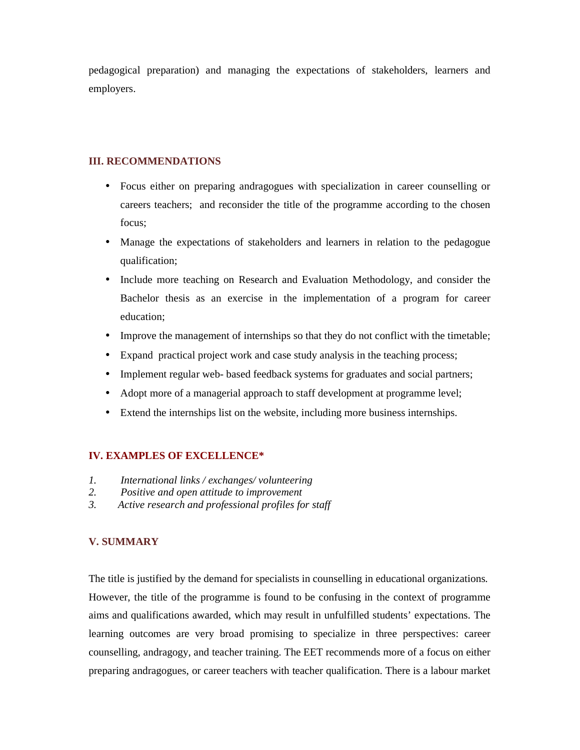pedagogical preparation) and managing the expectations of stakeholders, learners and employers.

## **III. RECOMMENDATIONS**

- Focus either on preparing andragogues with specialization in career counselling or careers teachers; and reconsider the title of the programme according to the chosen focus;
- Manage the expectations of stakeholders and learners in relation to the pedagogue qualification;
- Include more teaching on Research and Evaluation Methodology, and consider the Bachelor thesis as an exercise in the implementation of a program for career education;
- Improve the management of internships so that they do not conflict with the timetable;
- Expand practical project work and case study analysis in the teaching process;
- Implement regular web- based feedback systems for graduates and social partners;
- Adopt more of a managerial approach to staff development at programme level;
- Extend the internships list on the website, including more business internships.

## **IV. EXAMPLES OF EXCELLENCE\***

- *1. International links / exchanges/ volunteering*
- *2. Positive and open attitude to improvement*
- *3. Active research and professional profiles for staff*

## **V. SUMMARY**

The title is justified by the demand for specialists in counselling in educational organizations. However, the title of the programme is found to be confusing in the context of programme aims and qualifications awarded, which may result in unfulfilled students' expectations. The learning outcomes are very broad promising to specialize in three perspectives: career counselling, andragogy, and teacher training. The EET recommends more of a focus on either preparing andragogues, or career teachers with teacher qualification. There is a labour market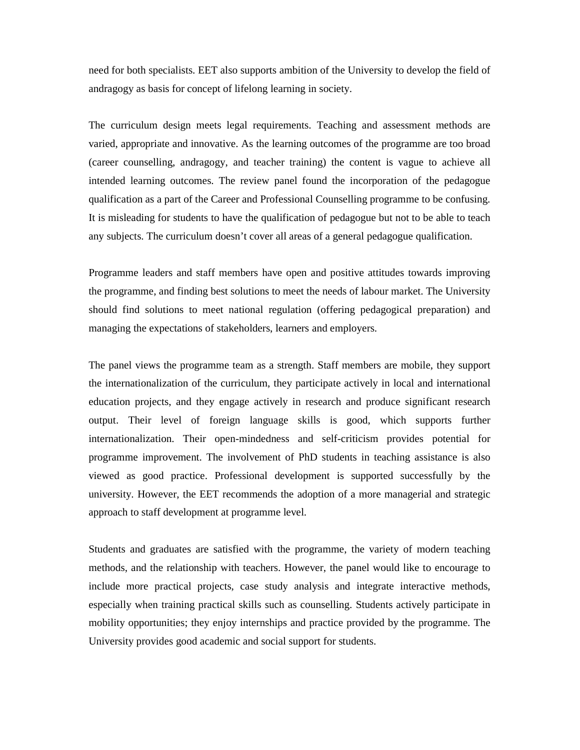need for both specialists. EET also supports ambition of the University to develop the field of andragogy as basis for concept of lifelong learning in society.

The curriculum design meets legal requirements. Teaching and assessment methods are varied, appropriate and innovative. As the learning outcomes of the programme are too broad (career counselling, andragogy, and teacher training) the content is vague to achieve all intended learning outcomes. The review panel found the incorporation of the pedagogue qualification as a part of the Career and Professional Counselling programme to be confusing. It is misleading for students to have the qualification of pedagogue but not to be able to teach any subjects. The curriculum doesn't cover all areas of a general pedagogue qualification.

Programme leaders and staff members have open and positive attitudes towards improving the programme, and finding best solutions to meet the needs of labour market. The University should find solutions to meet national regulation (offering pedagogical preparation) and managing the expectations of stakeholders, learners and employers.

The panel views the programme team as a strength. Staff members are mobile, they support the internationalization of the curriculum, they participate actively in local and international education projects, and they engage actively in research and produce significant research output. Their level of foreign language skills is good, which supports further internationalization. Their open-mindedness and self-criticism provides potential for programme improvement. The involvement of PhD students in teaching assistance is also viewed as good practice. Professional development is supported successfully by the university. However, the EET recommends the adoption of a more managerial and strategic approach to staff development at programme level.

Students and graduates are satisfied with the programme, the variety of modern teaching methods, and the relationship with teachers. However, the panel would like to encourage to include more practical projects, case study analysis and integrate interactive methods, especially when training practical skills such as counselling. Students actively participate in mobility opportunities; they enjoy internships and practice provided by the programme. The University provides good academic and social support for students.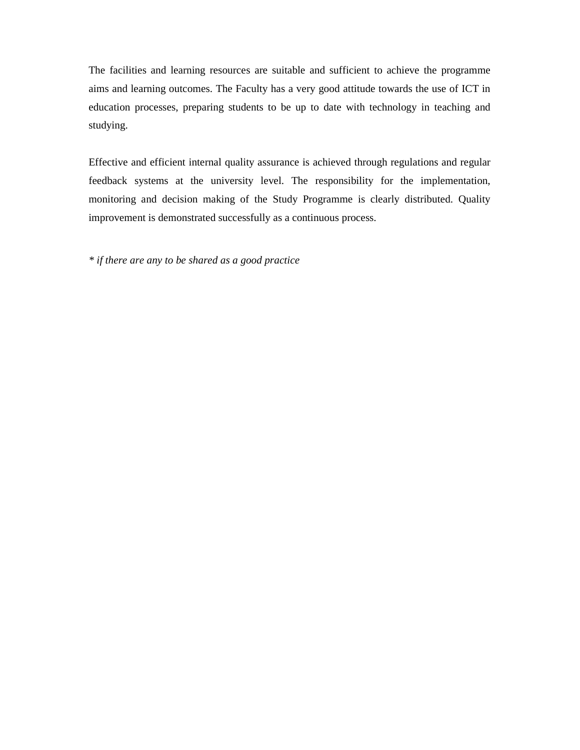The facilities and learning resources are suitable and sufficient to achieve the programme aims and learning outcomes. The Faculty has a very good attitude towards the use of ICT in education processes, preparing students to be up to date with technology in teaching and studying.

Effective and efficient internal quality assurance is achieved through regulations and regular feedback systems at the university level. The responsibility for the implementation, monitoring and decision making of the Study Programme is clearly distributed. Quality improvement is demonstrated successfully as a continuous process.

*\* if there are any to be shared as a good practice*